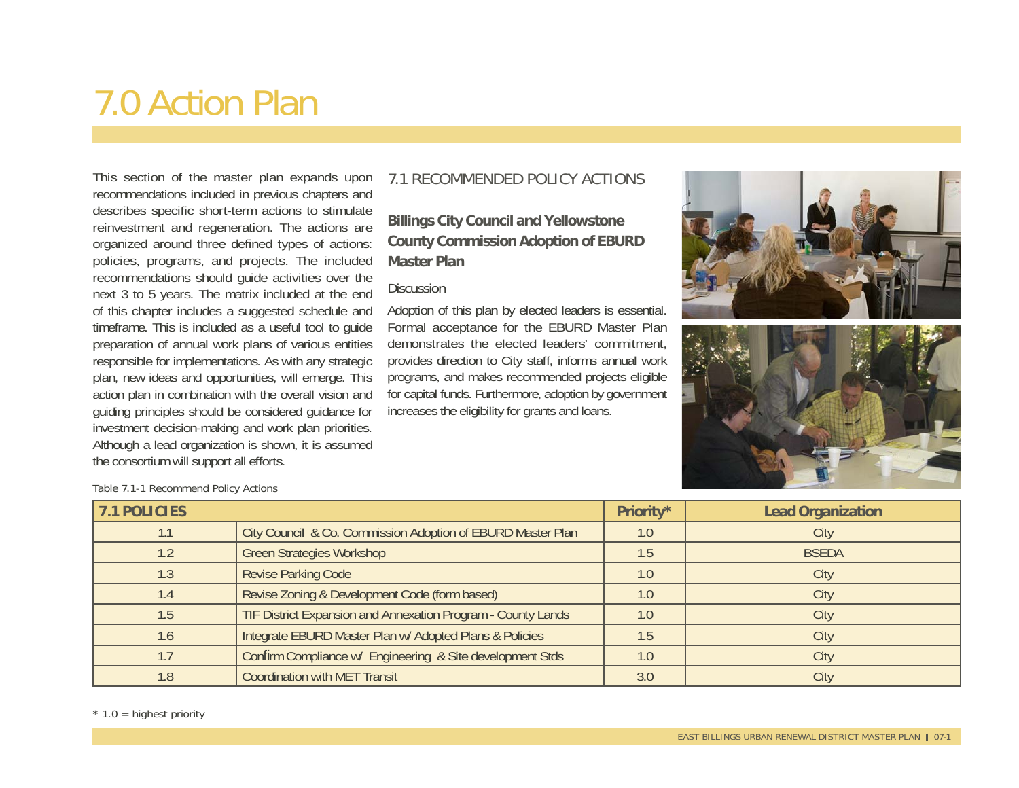# 7.0 Action Plan

This section of the master plan expands upon recommendations included in previous chapters and describes specific short-term actions to stimulate reinvestment and regeneration. The actions are organized around three defined types of actions: policies, programs, and projects. The included recommendations should guide activities over the next 3 to 5 years. The matrix included at the end of this chapter includes a suggested schedule and timeframe. This is included as a useful tool to guide preparation of annual work plans of various entities responsible for implementations. As with any strategic plan, new ideas and opportunities, will emerge. This action plan in combination with the overall vision and guiding principles should be considered guidance for investment decision-making and work plan priorities. Although a lead organization is shown, it is assumed the consortium will support all efforts.

# 7.1 RECOMMENDED POLICY ACTIONS

# **Billings City Council and Yellowstone County Commission Adoption of EBURD Master Plan**

#### **Discussion**

Adoption of this plan by elected leaders is essential. Formal acceptance for the EBURD Master Plan demonstrates the elected leaders' commitment, provides direction to City staff, informs annual work programs, and makes recommended projects eligible for capital funds. Furthermore, adoption by government increases the eligibility for grants and loans.





Table 7.1-1 Recommend Policy Actions

| 7.1 POLICIES |                                                              | Priority* | <b>Lead Organization</b> |
|--------------|--------------------------------------------------------------|-----------|--------------------------|
| 1.1          | City Council & Co. Commission Adoption of EBURD Master Plan  | 1.0       | City                     |
| 1.2          | <b>Green Strategies Workshop</b>                             | 1.5       | <b>BSEDA</b>             |
| 1.3          | <b>Revise Parking Code</b>                                   | 1.0       | City                     |
| 1.4          | Revise Zoning & Development Code (form based)                | 1.0       | City                     |
| 1.5          | TIF District Expansion and Annexation Program - County Lands | 1.0       | City                     |
| 1.6          | Integrate EBURD Master Plan w/ Adopted Plans & Policies      | 1.5       | City                     |
| 1.7          | Confirm Compliance w/ Engineering & Site development Stds    | 1.0       | City                     |
| 1.8          | <b>Coordination with MET Transit</b>                         | 3.0       | City                     |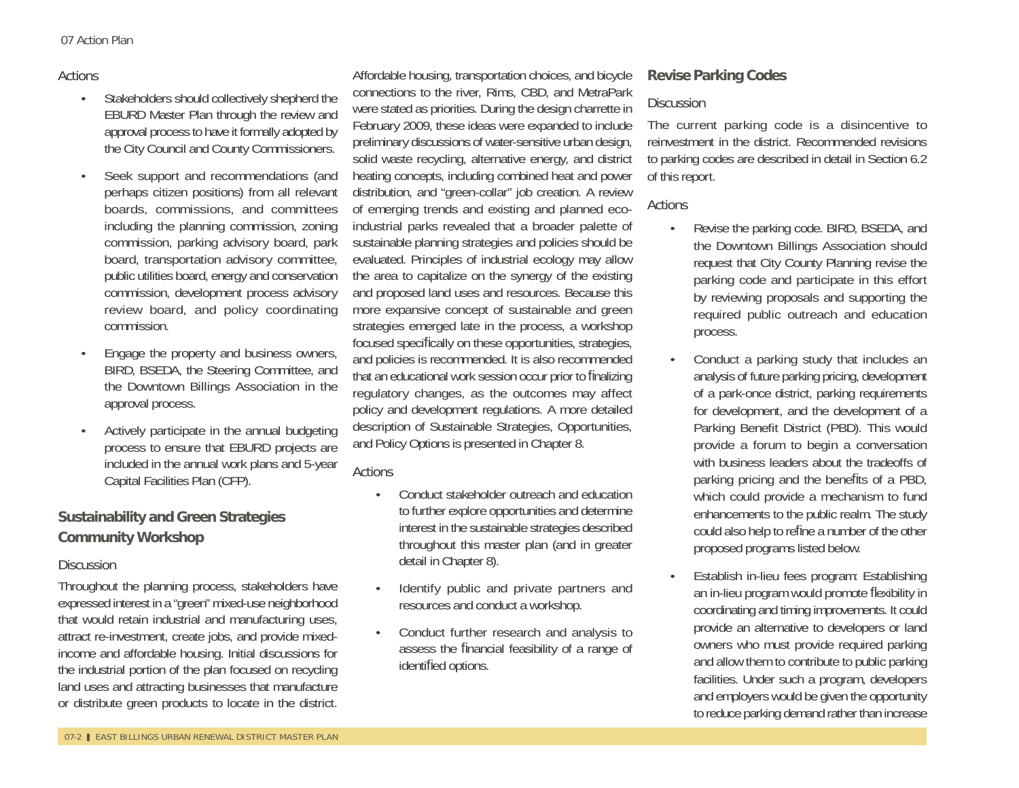#### Actions

- Stakeholders should collectively shepherd the EBURD Master Plan through the review and approval process to have it formally adopted by the City Council and County Commissioners.
- Seek support and recommendations (and perhaps citizen positions) from all relevant boards, commissions, and committees including the planning commission, zoning commission, parking advisory board, park board, transportation advisory committee, public utilities board, energy and conservation commission, development process advisory review board, and policy coordinating commission.
- Engage the property and business owners, BIRD, BSEDA, the Steering Committee, and the Downtown Billings Association in the approval process.
- Actively participate in the annual budgeting process to ensure that EBURD projects are included in the annual work plans and 5-year Capital Facilities Plan (CFP).

# **Sustainability and Green Strategies Community Workshop**

#### **Discussion**

Throughout the planning process, stakeholders have expressed interest in a "green" mixed-use neighborhood that would retain industrial and manufacturing uses, attract re-investment, create jobs, and provide mixedincome and affordable housing. Initial discussions for the industrial portion of the plan focused on recycling land uses and attracting businesses that manufacture or distribute green products to locate in the district.

Affordable housing, transportation choices, and bicycle connections to the river, Rims, CBD, and MetraPark were stated as priorities. During the design charrette in February 2009, these ideas were expanded to include preliminary discussions of water-sensitive urban design, solid waste recycling, alternative energy, and district heating concepts, including combined heat and power distribution, and "green-collar" job creation. A review of emerging trends and existing and planned ecoindustrial parks revealed that a broader palette of sustainable planning strategies and policies should be evaluated. Principles of industrial ecology may allow the area to capitalize on the synergy of the existing and proposed land uses and resources. Because this more expansive concept of sustainable and green strategies emerged late in the process, a workshop focused specifically on these opportunities, strategies, and policies is recommended. It is also recommended that an educational work session occur prior to finalizing regulatory changes, as the outcomes may affect policy and development regulations. A more detailed description of Sustainable Strategies, Opportunities, and Policy Options is presented in Chapter 8.

### Actions

- Conduct stakeholder outreach and education to further explore opportunities and determine interest in the sustainable strategies described throughout this master plan (and in greater detail in Chapter 8).
- Identify public and private partners and resources and conduct a workshop.
- Conduct further research and analysis to assess the financial feasibility of a range of identified options.

# **Revise Parking Codes**

#### **Discussion**

The current parking code is a disincentive to reinvestment in the district. Recommended revisions to parking codes are described in detail in Section 6.2 of this report.

- Revise the parking code. BIRD, BSEDA, and the Downtown Billings Association should request that City County Planning revise the parking code and participate in this effort by reviewing proposals and supporting the required public outreach and education process.
- Conduct a parking study that includes an analysis of future parking pricing, development of a park-once district, parking requirements for development, and the development of a Parking Benefit District (PBD). This would provide a forum to begin a conversation with business leaders about the tradeoffs of parking pricing and the benefits of a PBD, which could provide a mechanism to fund enhancements to the public realm. The study could also help to refine a number of the other proposed programs listed below.
- Establish in-lieu fees program: Establishing an in-lieu program would promote flexibility in coordinating and timing improvements. It could provide an alternative to developers or land owners who must provide required parking and allow them to contribute to public parking facilities. Under such a program, developers and employers would be given the opportunity to reduce parking demand rather than increase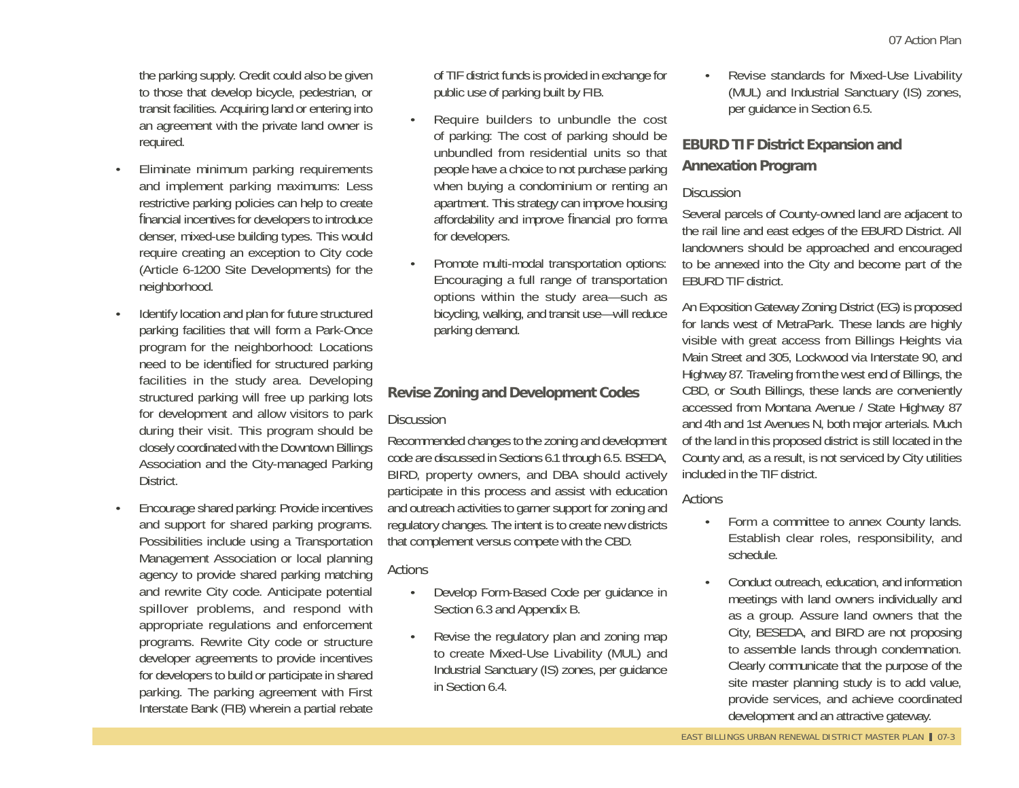the parking supply. Credit could also be given to those that develop bicycle, pedestrian, or transit facilities. Acquiring land or entering into an agreement with the private land owner is required.

- Eliminate minimum parking requirements and implement parking maximums: Less restrictive parking policies can help to create financial incentives for developers to introduce denser, mixed-use building types. This would require creating an exception to City code (Article 6-1200 Site Developments) for the neighborhood.
- Identify location and plan for future structured parking facilities that will form a Park-Once program for the neighborhood: Locations need to be identified for structured parking facilities in the study area. Developing structured parking will free up parking lots for development and allow visitors to park during their visit. This program should be closely coordinated with the Downtown Billings Association and the City-managed Parking District.
- Encourage shared parking: Provide incentives and support for shared parking programs. Possibilities include using a Transportation Management Association or local planning agency to provide shared parking matching and rewrite City code. Anticipate potential spillover problems, and respond with appropriate regulations and enforcement programs. Rewrite City code or structure developer agreements to provide incentives for developers to build or participate in shared parking. The parking agreement with First Interstate Bank (FIB) wherein a partial rebate

of TIF district funds is provided in exchange for public use of parking built by FIB.

- Require builders to unbundle the cost of parking: The cost of parking should be unbundled from residential units so that people have a choice to not purchase parking when buying a condominium or renting an apartment. This strategy can improve housing affordability and improve financial pro forma for developers.
	- Promote multi-modal transportation options: Encouraging a full range of transportation options within the study area—such as bicycling, walking, and transit use—will reduce parking demand.

#### **Revise Zoning and Development Codes**

#### **Discussion**

Recommended changes to the zoning and development code are discussed in Sections 6.1 through 6.5. BSEDA, BIRD, property owners, and DBA should actively participate in this process and assist with education and outreach activities to garner support for zoning and regulatory changes. The intent is to create new districts that complement versus compete with the CBD.

### **Actions**

- Develop Form-Based Code per guidance in Section 6.3 and Appendix B.
- Revise the regulatory plan and zoning map to create Mixed-Use Livability (MUL) and Industrial Sanctuary (IS) zones, per guidance in Section 6.4.

• Revise standards for Mixed-Use Livability (MUL) and Industrial Sanctuary (IS) zones, per guidance in Section 6.5.

# **EBURD TIF District Expansion and Annexation Program**

#### **Discussion**

Several parcels of County-owned land are adjacent to the rail line and east edges of the EBURD District. All landowners should be approached and encouraged to be annexed into the City and become part of the EBURD TIF district.

An Exposition Gateway Zoning District (EG) is proposed for lands west of MetraPark. These lands are highly visible with great access from Billings Heights via Main Street and 305, Lockwood via Interstate 90, and Highway 87. Traveling from the west end of Billings, the CBD, or South Billings, these lands are conveniently accessed from Montana Avenue / State Highway 87 and 4th and 1st Avenues N, both major arterials. Much of the land in this proposed district is still located in the County and, as a result, is not serviced by City utilities included in the TIF district.

- Form a committee to annex County lands. Establish clear roles, responsibility, and schedule.
- Conduct outreach, education, and information meetings with land owners individually and as a group. Assure land owners that the City, BESEDA, and BIRD are not proposing to assemble lands through condemnation. Clearly communicate that the purpose of the site master planning study is to add value, provide services, and achieve coordinated development and an attractive gateway.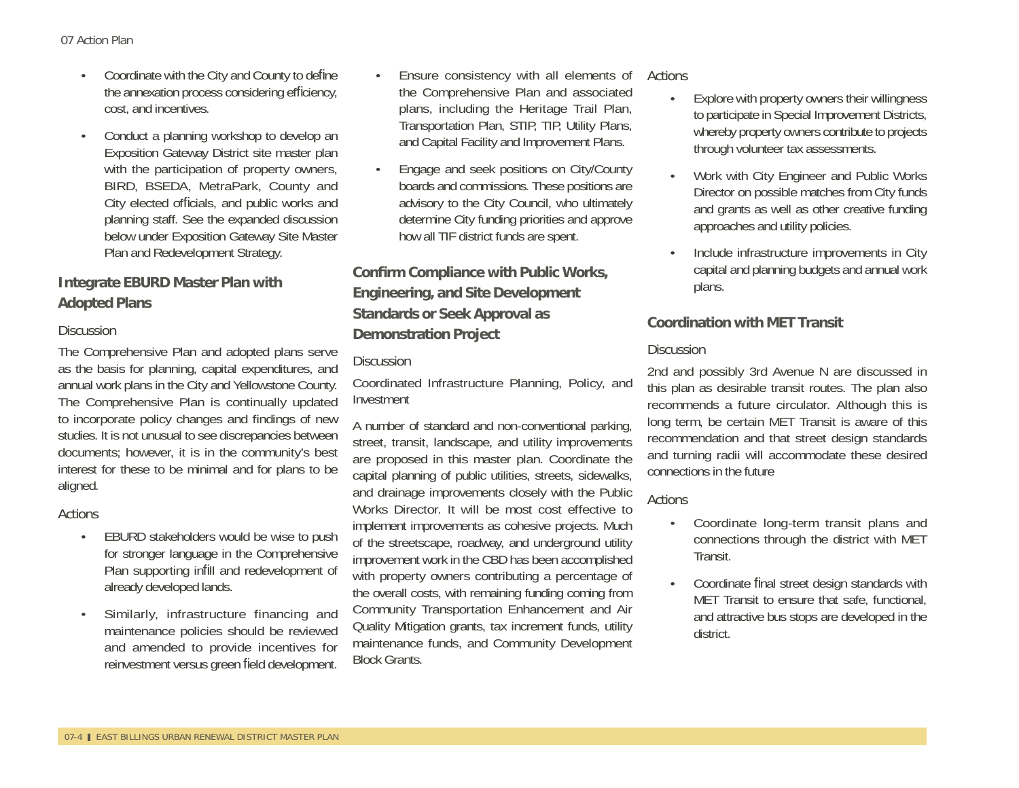- Coordinate with the City and County to define the annexation process considering efficiency, cost, and incentives.
- Conduct a planning workshop to develop an Exposition Gateway District site master plan with the participation of property owners, BIRD, BSEDA, MetraPark, County and City elected officials, and public works and planning staff. See the expanded discussion below under Exposition Gateway Site Master Plan and Redevelopment Strategy.

# **Integrate EBURD Master Plan with Adopted Plans**

#### **Discussion**

The Comprehensive Plan and adopted plans serve as the basis for planning, capital expenditures, and annual work plans in the City and Yellowstone County. The Comprehensive Plan is continually updated to incorporate policy changes and findings of new studies. It is not unusual to see discrepancies between documents; however, it is in the community's best interest for these to be minimal and for plans to be aligned.

#### Actions

- EBURD stakeholders would be wise to push for stronger language in the Comprehensive Plan supporting infill and redevelopment of already developed lands.
- Similarly, infrastructure financing and maintenance policies should be reviewed and amended to provide incentives for reinvestment versus green field development.
- Ensure consistency with all elements of the Comprehensive Plan and associated plans, including the Heritage Trail Plan, Transportation Plan, STIP, TIP, Utility Plans, and Capital Facility and Improvement Plans.
- Engage and seek positions on City/County boards and commissions. These positions are advisory to the City Council, who ultimately determine City funding priorities and approve how all TIF district funds are spent.

# **Con fi rm Compliance with Public Works, Engineering, and Site Development Standards or Seek Approval as Demonstration Project**

#### **Discussion**

Coordinated Infrastructure Planning, Policy, and Investment

A number of standard and non-conventional parking, street, transit, landscape, and utility improvements are proposed in this master plan. Coordinate the capital planning of public utilities, streets, sidewalks, and drainage improvements closely with the Public Works Director. It will be most cost effective to implement improvements as cohesive projects. Much of the streetscape, roadway, and underground utility improvement work in the CBD has been accomplished with property owners contributing a percentage of the overall costs, with remaining funding coming from Community Transportation Enhancement and Air Quality Mitigation grants, tax increment funds, utility maintenance funds, and Community Development Block Grants.

#### Actions

- Explore with property owners their willingness to participate in Special Improvement Districts, whereby property owners contribute to projects through volunteer tax assessments.
- Work with City Engineer and Public Works Director on possible matches from City funds and grants as well as other creative funding approaches and utility policies.
- Include infrastructure improvements in City capital and planning budgets and annual work plans.

### **Coordination with MET Transit**

#### **Discussion**

2nd and possibly 3rd Avenue N are discussed in this plan as desirable transit routes. The plan also recommends a future circulator. Although this is long term, be certain MET Transit is aware of this recommendation and that street design standards and turning radii will accommodate these desired connections in the future

- Coordinate long-term transit plans and connections through the district with MET Transit.
- Coordinate final street design standards with MET Transit to ensure that safe, functional, and attractive bus stops are developed in the district.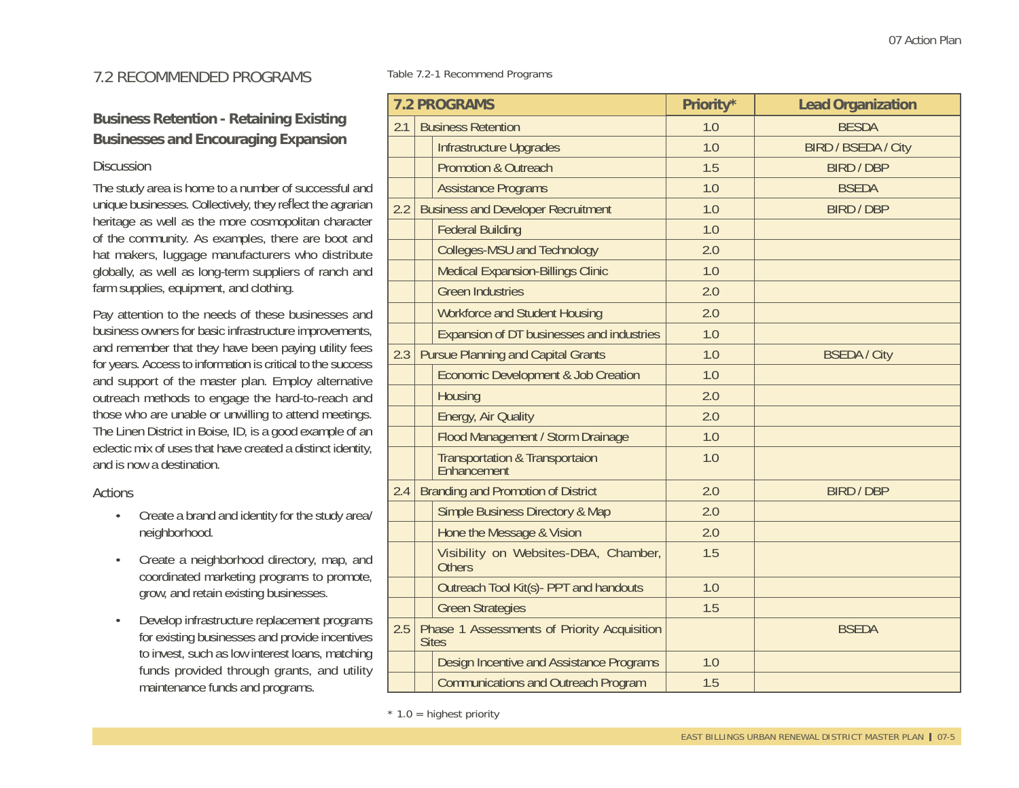# **Business Retention - Retaining Existing Businesses and Encouraging Expansion**

#### **Discussion**

The study area is home to a number of successful and unique businesses. Collectively, they reflect the agrarian heritage as well as the more cosmopolitan character of the community. As examples, there are boot and hat makers, luggage manufacturers who distribute globally, as well as long-term suppliers of ranch and farm supplies, equipment, and clothing.

Pay attention to the needs of these businesses and business owners for basic infrastructure improvements, and remember that they have been paying utility fees for years. Access to information is critical to the success and support of the master plan. Employ alternative outreach methods to engage the hard-to-reach and those who are unable or unwilling to attend meetings. The Linen District in Boise, ID, is a good example of an eclectic mix of uses that have created a distinct identity, and is now a destination.

#### Actions

- Create a brand and identity for the study area/ neighborhood.
- Create a neighborhood directory, map, and coordinated marketing programs to promote, grow, and retain existing businesses.
- Develop infrastructure replacement programs for existing businesses and provide incentives to invest, such as low interest loans, matching funds provided through grants, and utility maintenance funds and programs.

Table 7.2-1 Recommend Programs

| <b>7.2 PROGRAMS</b> |  | Priority*                                                   | <b>Lead Organization</b> |                            |
|---------------------|--|-------------------------------------------------------------|--------------------------|----------------------------|
| 2.1                 |  | <b>Business Retention</b>                                   | 1.0                      | <b>BESDA</b>               |
|                     |  | Infrastructure Upgrades                                     | 1.0                      | <b>BIRD / BSEDA / City</b> |
|                     |  | <b>Promotion &amp; Outreach</b>                             | 1.5                      | <b>BIRD / DBP</b>          |
|                     |  | <b>Assistance Programs</b>                                  | 1.0                      | <b>BSEDA</b>               |
| 2.2                 |  | <b>Business and Developer Recruitment</b>                   | 1.0                      | <b>BIRD / DBP</b>          |
|                     |  | <b>Federal Building</b>                                     | 1.0                      |                            |
|                     |  | <b>Colleges-MSU and Technology</b>                          | 2.0                      |                            |
|                     |  | <b>Medical Expansion-Billings Clinic</b>                    | 1.0                      |                            |
|                     |  | <b>Green Industries</b>                                     | 2.0                      |                            |
|                     |  | <b>Workforce and Student Housing</b>                        | 2.0                      |                            |
|                     |  | Expansion of DT businesses and industries                   | 1.0                      |                            |
| 2.3                 |  | <b>Pursue Planning and Capital Grants</b>                   | 1.0                      | <b>BSEDA / City</b>        |
|                     |  | Economic Development & Job Creation                         | 1.0                      |                            |
|                     |  | Housing                                                     | 2.0                      |                            |
|                     |  | Energy, Air Quality                                         | 2.0                      |                            |
|                     |  | Flood Management / Storm Drainage                           | 1.0                      |                            |
|                     |  | Transportation & Transportaion<br>Enhancement               | 1.0                      |                            |
| 2.4                 |  | <b>Branding and Promotion of District</b>                   | 2.0                      | <b>BIRD / DBP</b>          |
|                     |  | <b>Simple Business Directory &amp; Map</b>                  | 2.0                      |                            |
|                     |  | Hone the Message & Vision                                   | 2.0                      |                            |
|                     |  | Visibility on Websites-DBA, Chamber,<br><b>Others</b>       | 1.5                      |                            |
|                     |  | Outreach Tool Kit(s) - PPT and handouts                     | 1.0                      |                            |
|                     |  | <b>Green Strategies</b>                                     | 1.5                      |                            |
| 2.5                 |  | Phase 1 Assessments of Priority Acquisition<br><b>Sites</b> |                          | <b>BSEDA</b>               |
|                     |  | Design Incentive and Assistance Programs                    | 1.0                      |                            |
|                     |  | <b>Communications and Outreach Program</b>                  | 1.5                      |                            |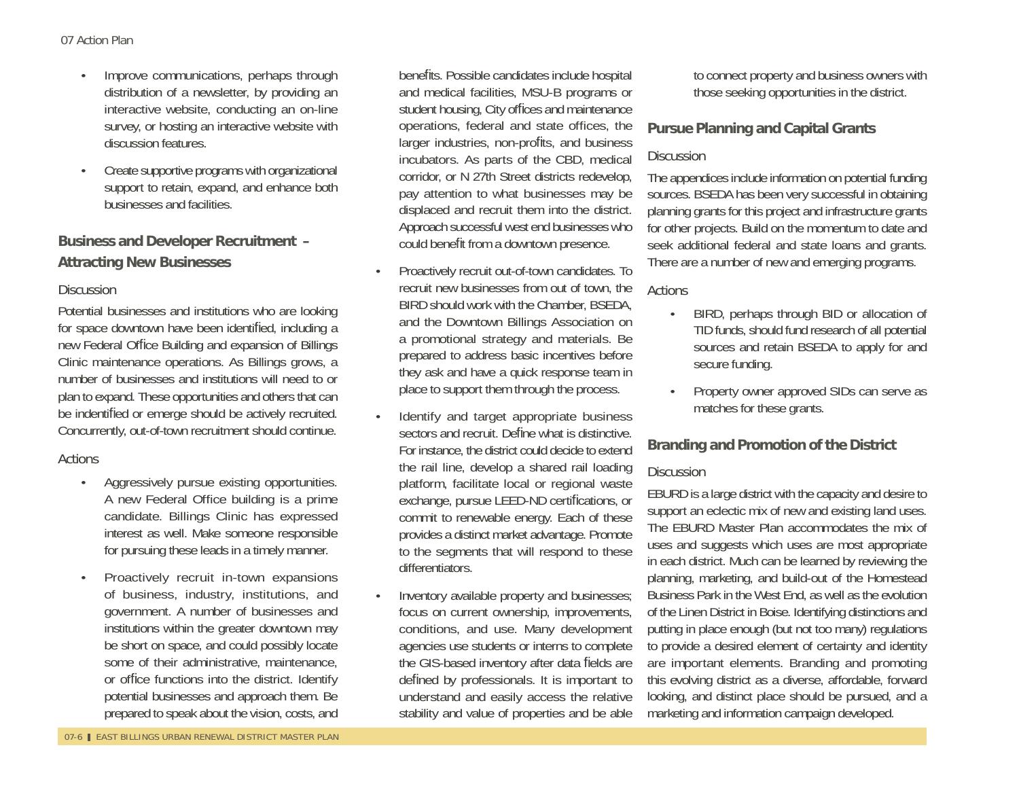- Improve communications, perhaps through distribution of a newsletter, by providing an interactive website, conducting an on-line survey, or hosting an interactive website with discussion features.
- Create supportive programs with organizational support to retain, expand, and enhance both businesses and facilities.

# **Business and Developer Recruitment – Attracting New Businesses**

#### **Discussion**

Potential businesses and institutions who are looking for space downtown have been identified, including a new Federal Office Building and expansion of Billings Clinic maintenance operations. As Billings grows, a number of businesses and institutions will need to or plan to expand. These opportunities and others that can be indentified or emerge should be actively recruited. Concurrently, out-of-town recruitment should continue.

### Actions

- Aggressively pursue existing opportunities. A new Federal Office building is a prime candidate. Billings Clinic has expressed interest as well. Make someone responsible for pursuing these leads in a timely manner.
- Proactively recruit in-town expansions of business, industry, institutions, and government. A number of businesses and institutions within the greater downtown may be short on space, and could possibly locate some of their administrative, maintenance, or office functions into the district. Identify potential businesses and approach them. Be prepared to speak about the vision, costs, and

benefits. Possible candidates include hospital and medical facilities, MSU-B programs or student housing, City offices and maintenance operations, federal and state offices, the larger industries, non-profits, and business incubators. As parts of the CBD, medical corridor, or N 27th Street districts redevelop, pay attention to what businesses may be displaced and recruit them into the district. Approach successful west end businesses who could benefit from a downtown presence.

- Proactively recruit out-of-town candidates. To recruit new businesses from out of town, the BIRD should work with the Chamber, BSEDA, and the Downtown Billings Association on a promotional strategy and materials. Be prepared to address basic incentives before they ask and have a quick response team in place to support them through the process.
- Identify and target appropriate business sectors and recruit. Define what is distinctive. For instance, the district could decide to extend the rail line, develop a shared rail loading platform, facilitate local or regional waste exchange, pursue LEED-ND certifications, or commit to renewable energy. Each of these provides a distinct market advantage. Promote to the segments that will respond to these differentiators.
- Inventory available property and businesses; focus on current ownership, improvements, conditions, and use. Many development agencies use students or interns to complete the GIS-based inventory after data fields are defined by professionals. It is important to understand and easily access the relative stability and value of properties and be able

to connect property and business owners with those seeking opportunities in the district.

#### **Pursue Planning and Capital Grants**

#### **Discussion**

The appendices include information on potential funding sources. BSEDA has been very successful in obtaining planning grants for this project and infrastructure grants for other projects. Build on the momentum to date and seek additional federal and state loans and grants. There are a number of new and emerging programs.

#### Actions

- BIRD, perhaps through BID or allocation of TID funds, should fund research of all potential sources and retain BSEDA to apply for and secure funding.
- Property owner approved SIDs can serve as matches for these grants.

### **Branding and Promotion of the District**

#### **Discussion**

EBURD is a large district with the capacity and desire to support an eclectic mix of new and existing land uses. The EBURD Master Plan accommodates the mix of uses and suggests which uses are most appropriate in each district. Much can be learned by reviewing the planning, marketing, and build-out of the Homestead Business Park in the West End, as well as the evolution of the Linen District in Boise. Identifying distinctions and putting in place enough (but not too many) regulations to provide a desired element of certainty and identity are important elements. Branding and promoting this evolving district as a diverse, affordable, forward looking, and distinct place should be pursued, and a marketing and information campaign developed.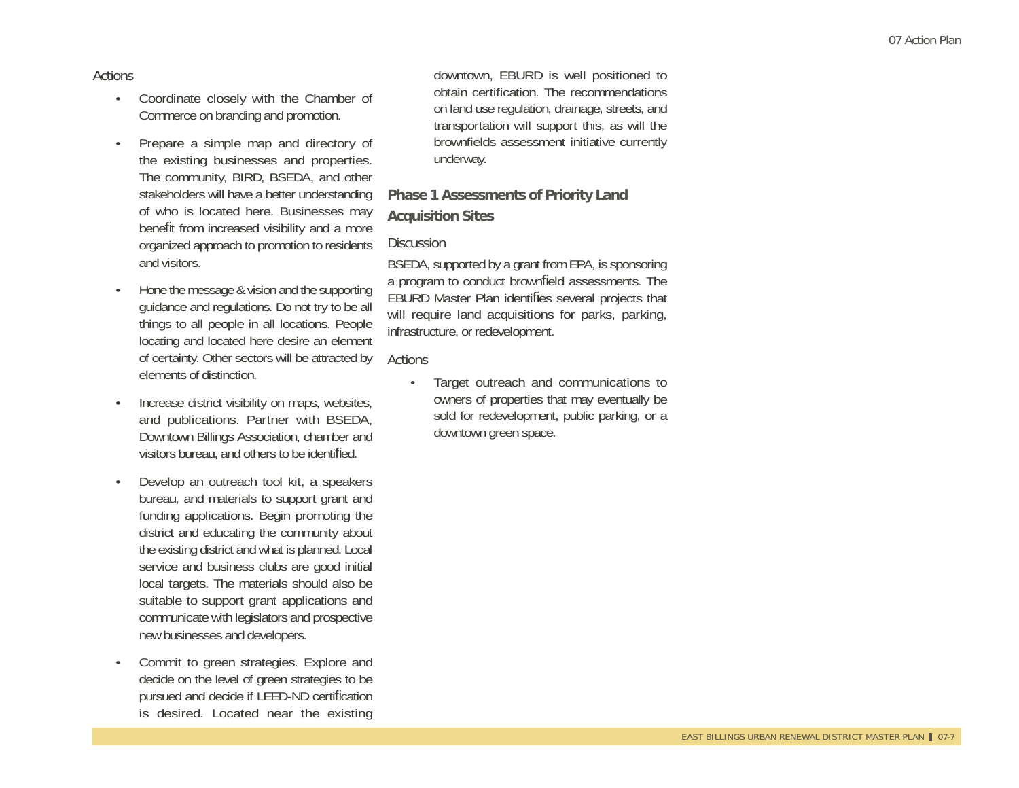#### Actions

- Coordinate closely with the Chamber of Commerce on branding and promotion.
- Prepare a simple map and directory of the existing businesses and properties. The community, BIRD, BSEDA, and other stakeholders will have a better understanding of who is located here. Businesses may benefit from increased visibility and a more organized approach to promotion to residents and visitors.
- Hone the message & vision and the supporting guidance and regulations. Do not try to be all things to all people in all locations. People locating and located here desire an element of certainty. Other sectors will be attracted by elements of distinction.
- Increase district visibility on maps, websites, and publications. Partner with BSEDA, Downtown Billings Association, chamber and visitors bureau, and others to be identified.
- Develop an outreach tool kit, a speakers bureau, and materials to support grant and funding applications. Begin promoting the district and educating the community about the existing district and what is planned. Local service and business clubs are good initial local targets. The materials should also be suitable to support grant applications and communicate with legislators and prospective new businesses and developers.
- Commit to green strategies. Explore and decide on the level of green strategies to be pursued and decide if LEED-ND certification is desired. Located near the existing

downtown, EBURD is well positioned to obtain certification. The recommendations on land use regulation, drainage, streets, and transportation will support this, as will the brownfields assessment initiative currently underway.

#### **Phase 1 Assessments of Priority Land**

#### **Acquisition Sites**

#### **Discussion**

BSEDA, supported by a grant from EPA, is sponsoring a program to conduct brownfield assessments. The EBURD Master Plan identifies several projects that will require land acquisitions for parks, parking, infrastructure, or redevelopment.

#### Actions

• Target outreach and communications to owners of properties that may eventually be sold for redevelopment, public parking, or a downtown green space.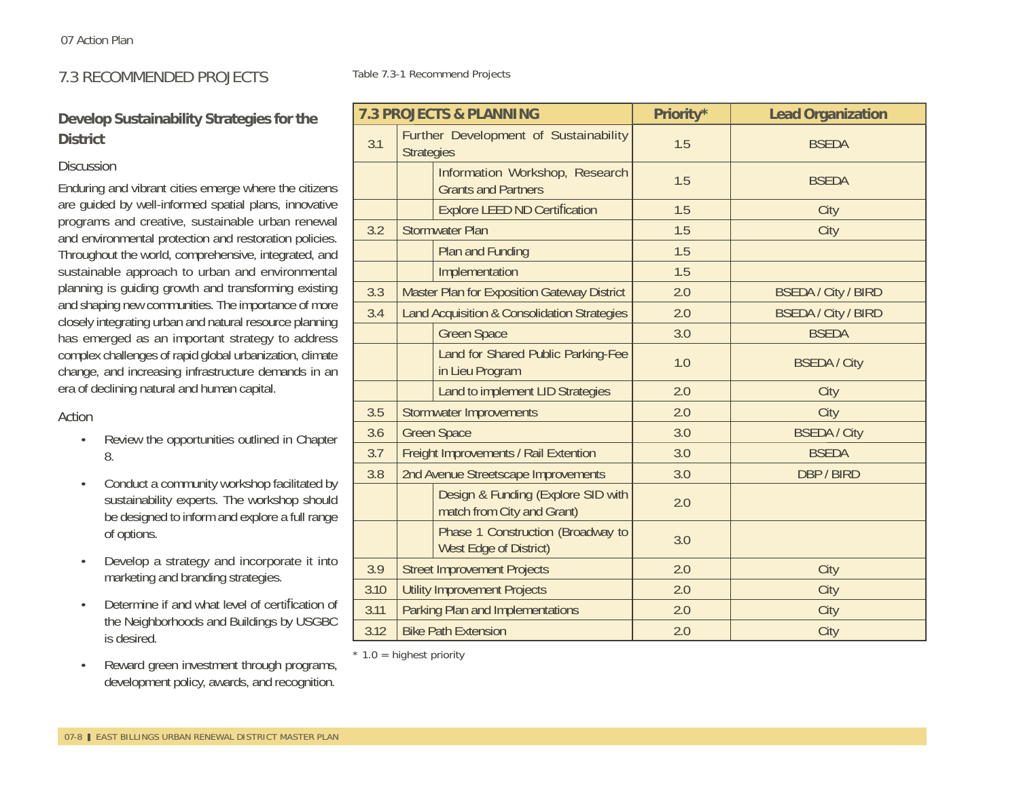# 7.3 RECOMMENDED PROJECTS

# **Develop Sustainability Strategies for the District**

#### **Discussion**

Enduring and vibrant cities emerge where the citizens are guided by well-informed spatial plans, innovative programs and creative, sustainable urban renewal and environmental protection and restoration policies. Throughout the world, comprehensive, integrated, and sustainable approach to urban and environmental planning is guiding growth and transforming existing and shaping new communities. The importance of more closely integrating urban and natural resource planning has emerged as an important strategy to address complex challenges of rapid global urbanization, climate change, and increasing infrastructure demands in an era of declining natural and human capital.

#### Action

- Review the opportunities outlined in Chapter 8.
- Conduct a community workshop facilitated by sustainability experts. The workshop should be designed to inform and explore a full range of options.
- Develop a strategy and incorporate it into marketing and branding strategies.
- Determine if and what level of certification of the Neighborhoods and Buildings by USGBC is desired.
- Reward green investment through programs, development policy, awards, and recognition.

Table 7.3-1 Recommend Projects

| <b>7.3 PROJECTS &amp; PLANNING</b> |                                                                  | Priority* | <b>Lead Organization</b>   |
|------------------------------------|------------------------------------------------------------------|-----------|----------------------------|
| 3.1                                | Further Development of Sustainability<br><b>Strategies</b>       | 1.5       | <b>BSEDA</b>               |
|                                    | Information Workshop, Research<br><b>Grants and Partners</b>     | 1.5       | <b>BSEDA</b>               |
|                                    | <b>Explore LEED ND Certification</b>                             | 1.5       | City                       |
| 3.2                                | <b>Stormwater Plan</b>                                           | 1.5       | City                       |
|                                    | Plan and Funding                                                 | 1.5       |                            |
|                                    | Implementation                                                   | 1.5       |                            |
| 3.3                                | <b>Master Plan for Exposition Gateway District</b>               | 2.0       | <b>BSEDA / City / BIRD</b> |
| 3.4                                | Land Acquisition & Consolidation Strategies                      | 2.0       | <b>BSEDA / City / BIRD</b> |
|                                    | <b>Green Space</b>                                               | 3.0       | <b>BSEDA</b>               |
|                                    | Land for Shared Public Parking-Fee<br>in Lieu Program            | 1.0       | <b>BSEDA / City</b>        |
|                                    | Land to implement LID Strategies                                 | 2.0       | City                       |
| 3.5                                | <b>Stormwater Improvements</b>                                   | 2.0       | City                       |
| 3.6                                | <b>Green Space</b>                                               | 3.0       | <b>BSEDA / City</b>        |
| 3.7                                | Freight Improvements / Rail Extention                            | 3.0       | <b>BSEDA</b>               |
| 3.8                                | 2nd Avenue Streetscape Improvements                              | 3.0       | DBP / BIRD                 |
|                                    | Design & Funding (Explore SID with<br>match from City and Grant) | 2.0       |                            |
|                                    | Phase 1 Construction (Broadway to<br>West Edge of District)      | 3.0       |                            |
| 3.9                                | <b>Street Improvement Projects</b>                               | 2.0       | City                       |
| 3.10                               | <b>Utility Improvement Projects</b>                              | 2.0       | City                       |
| 3.11                               | Parking Plan and Implementations                                 | 2.0       | City                       |
| 3.12                               | <b>Bike Path Extension</b>                                       | 2.0       | City                       |

 $*$  1.0 = highest priority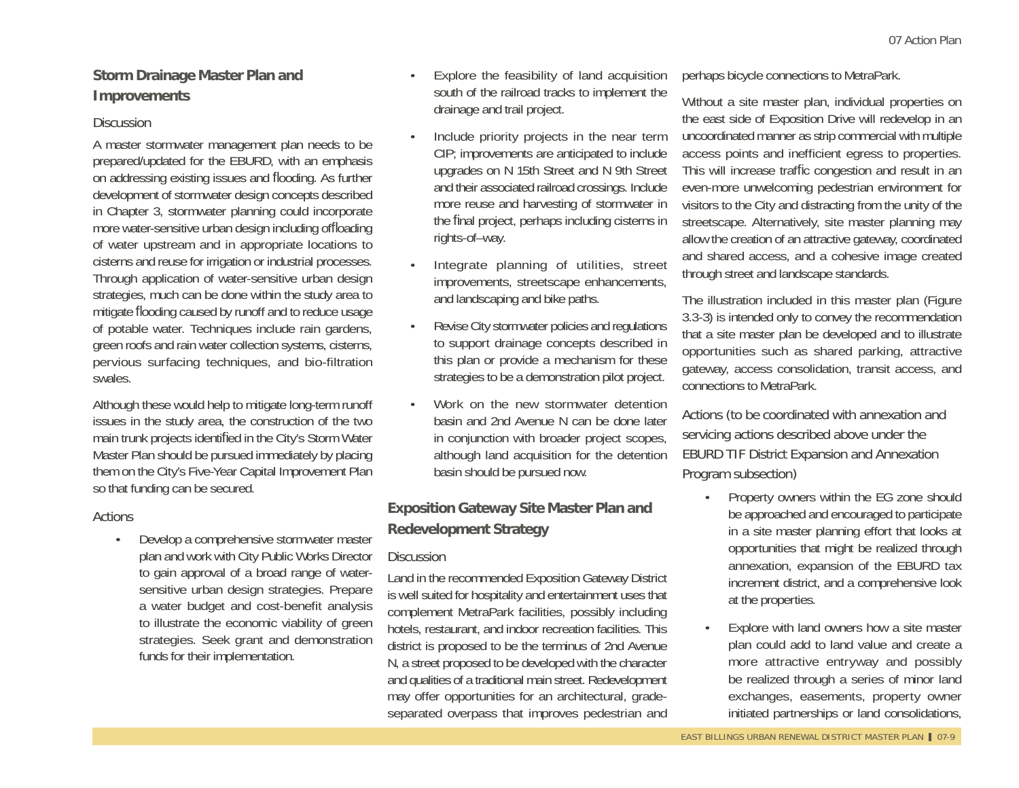# **Storm Drainage Master Plan and Improvements**

#### **Discussion**

A master stormwater management plan needs to be prepared/updated for the EBURD, with an emphasis on addressing existing issues and flooding. As further development of stormwater design concepts described in Chapter 3, stormwater planning could incorporate more water-sensitive urban design including offloading of water upstream and in appropriate locations to cisterns and reuse for irrigation or industrial processes. Through application of water-sensitive urban design strategies, much can be done within the study area to mitigate fl ooding caused by runoff and to reduce usage of potable water. Techniques include rain gardens, green roofs and rain water collection systems, cisterns, pervious surfacing techniques, and bio-filtration swales.

Although these would help to mitigate long-term runoff issues in the study area, the construction of the two main trunk projects identified in the City's Storm Water Master Plan should be pursued immediately by placing them on the City's Five-Year Capital Improvement Plan so that funding can be secured.

#### **Actions**

• Develop a comprehensive stormwater master plan and work with City Public Works Director to gain approval of a broad range of watersensitive urban design strategies. Prepare a water budget and cost-benefit analysis to illustrate the economic viability of green strategies. Seek grant and demonstration funds for their implementation.

- Explore the feasibility of land acquisition south of the railroad tracks to implement the drainage and trail project.
- Include priority projects in the near term CIP; improvements are anticipated to include upgrades on N 15th Street and N 9th Street and their associated railroad crossings. Include more reuse and harvesting of stormwater in the final project, perhaps including cisterns in rights-of–way.
- Integrate planning of utilities, street improvements, streetscape enhancements, and landscaping and bike paths.
- Revise City stormwater policies and regulations to support drainage concepts described in this plan or provide a mechanism for these strategies to be a demonstration pilot project.
- Work on the new stormwater detention basin and 2nd Avenue N can be done later in conjunction with broader project scopes, although land acquisition for the detention basin should be pursued now.

# **Exposition Gateway Site Master Plan and Redevelopment Strategy**

### **Discussion**

Land in the recommended Exposition Gateway District is well suited for hospitality and entertainment uses that complement MetraPark facilities, possibly including hotels, restaurant, and indoor recreation facilities. This district is proposed to be the terminus of 2nd Avenue N, a street proposed to be developed with the character and qualities of a traditional main street. Redevelopment may offer opportunities for an architectural, gradeseparated overpass that improves pedestrian and

perhaps bicycle connections to MetraPark.

Without a site master plan, individual properties on the east side of Exposition Drive will redevelop in an uncoordinated manner as strip commercial with multiple access points and inefficient egress to properties. This will increase traffic congestion and result in an even-more unwelcoming pedestrian environment for visitors to the City and distracting from the unity of the streetscape. Alternatively, site master planning may allow the creation of an attractive gateway, coordinated and shared access, and a cohesive image created through street and landscape standards.

The illustration included in this master plan (Figure 3.3-3) is intended only to convey the recommendation that a site master plan be developed and to illustrate opportunities such as shared parking, attractive gateway, access consolidation, transit access, and connections to MetraPark.

Actions (to be coordinated with annexation and servicing actions described above under the EBURD TIF District Expansion and Annexation Program subsection)

- Property owners within the EG zone should be approached and encouraged to participate in a site master planning effort that looks at opportunities that might be realized through annexation, expansion of the EBURD tax increment district, and a comprehensive look at the properties.
- Explore with land owners how a site master plan could add to land value and create a more attractive entryway and possibly be realized through a series of minor land exchanges, easements, property owner initiated partnerships or land consolidations,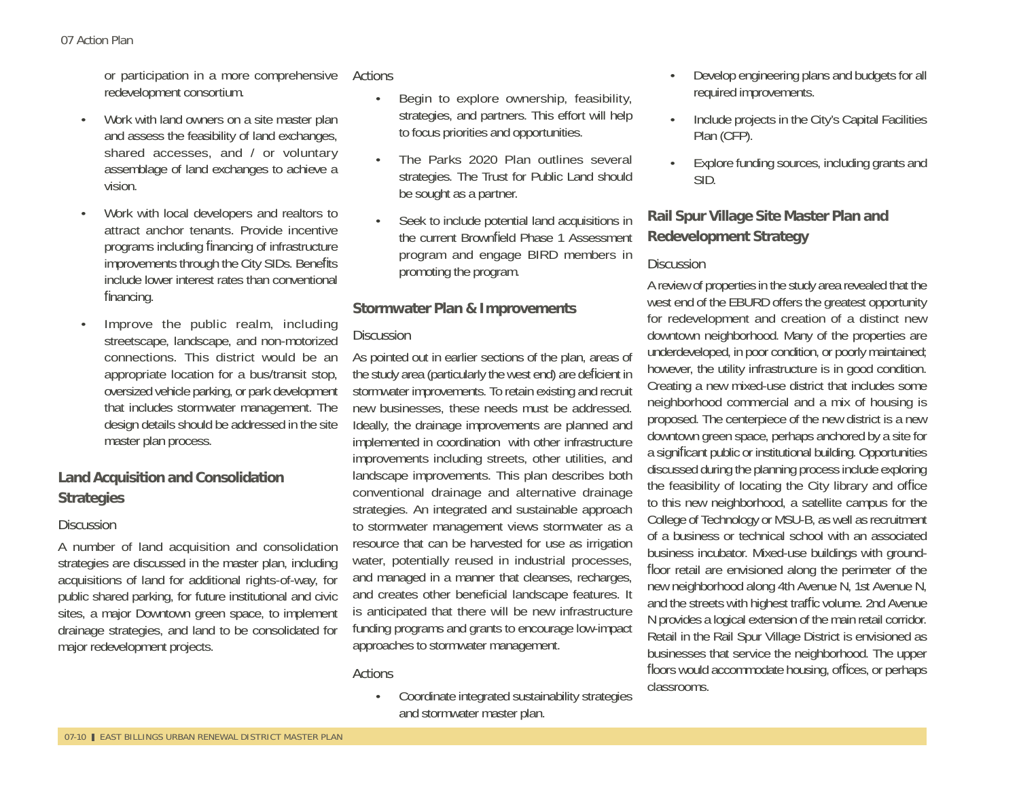or participation in a more comprehensive Actions redevelopment consortium.

- Work with land owners on a site master plan and assess the feasibility of land exchanges, shared accesses, and / or voluntary assemblage of land exchanges to achieve a vision.
- Work with local developers and realtors to attract anchor tenants. Provide incentive programs including financing of infrastructure improvements through the City SIDs. Benefits include lower interest rates than conventional financing.
- Improve the public realm, including streetscape, landscape, and non-motorized connections. This district would be an appropriate location for a bus/transit stop, oversized vehicle parking, or park development that includes stormwater management. The design details should be addressed in the site master plan process.

# **Land Acquisition and Consolidation Strategies**

### **Discussion**

A number of land acquisition and consolidation strategies are discussed in the master plan, including acquisitions of land for additional rights-of-way, for public shared parking, for future institutional and civic sites, a major Downtown green space, to implement drainage strategies, and land to be consolidated for major redevelopment projects.

- Begin to explore ownership, feasibility, strategies, and partners. This effort will help to focus priorities and opportunities.
- The Parks 2020 Plan outlines several strategies. The Trust for Public Land should be sought as a partner.
- Seek to include potential land acquisitions in the current Brownfield Phase 1 Assessment program and engage BIRD members in promoting the program.

# **Stormwater Plan & Improvements**

# **Discussion**

As pointed out in earlier sections of the plan, areas of the study area (particularly the west end) are deficient in stormwater improvements. To retain existing and recruit new businesses, these needs must be addressed. Ideally, the drainage improvements are planned and implemented in coordination with other infrastructure improvements including streets, other utilities, and landscape improvements. This plan describes both conventional drainage and alternative drainage strategies. An integrated and sustainable approach to stormwater management views stormwater as a resource that can be harvested for use as irrigation water, potentially reused in industrial processes, and managed in a manner that cleanses, recharges, and creates other beneficial landscape features. It is anticipated that there will be new infrastructure funding programs and grants to encourage low-impact approaches to stormwater management.

# **Actions**

• Coordinate integrated sustainability strategies and stormwater master plan.

- Develop engineering plans and budgets for all required improvements.
- Include projects in the City's Capital Facilities Plan (CFP).
- Explore funding sources, including grants and SID.

# **Rail Spur Village Site Master Plan and Redevelopment Strategy**

# **Discussion**

A review of properties in the study area revealed that the west end of the EBURD offers the greatest opportunity for redevelopment and creation of a distinct new downtown neighborhood. Many of the properties are underdeveloped, in poor condition, or poorly maintained; however, the utility infrastructure is in good condition. Creating a new mixed-use district that includes some neighborhood commercial and a mix of housing is proposed. The centerpiece of the new district is a new downtown green space, perhaps anchored by a site for a significant public or institutional building. Opportunities discussed during the planning process include exploring the feasibility of locating the City library and office to this new neighborhood, a satellite campus for the College of Technology or MSU-B, as well as recruitment of a business or technical school with an associated business incubator. Mixed-use buildings with groundfloor retail are envisioned along the perimeter of the new neighborhood along 4th Avenue N, 1st Avenue N, and the streets with highest traffic volume. 2nd Avenue N provides a logical extension of the main retail corridor. Retail in the Rail Spur Village District is envisioned as businesses that service the neighborhood. The upper floors would accommodate housing, offices, or perhaps classrooms.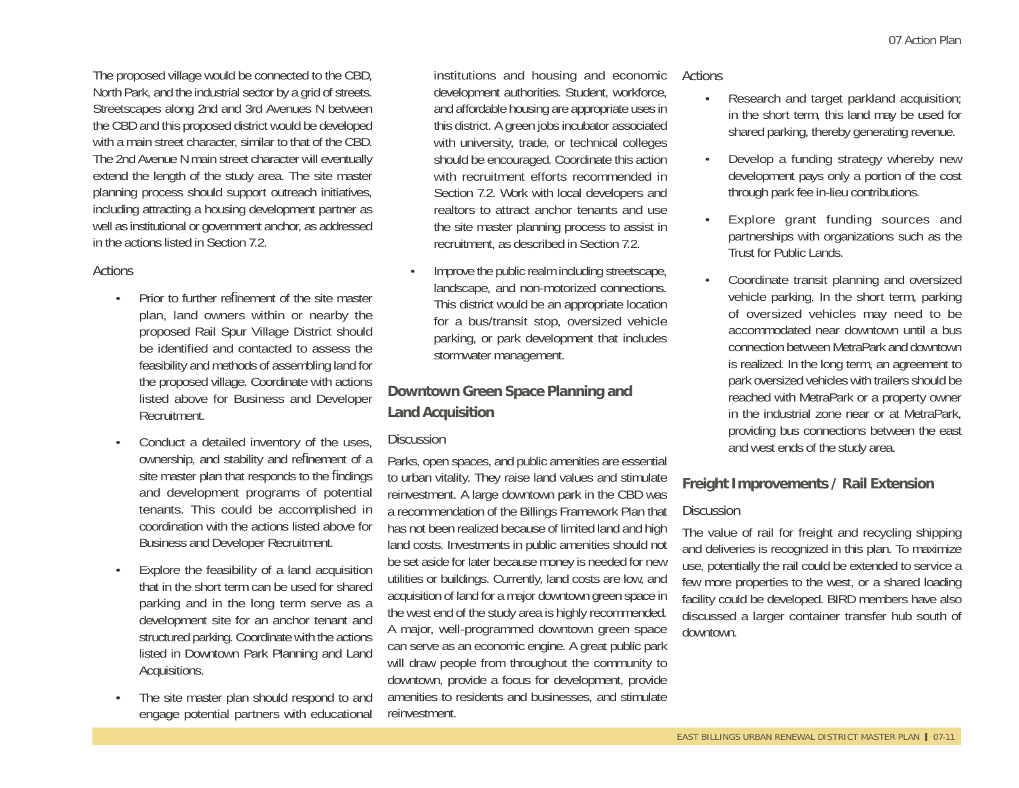The proposed village would be connected to the CBD, North Park, and the industrial sector by a grid of streets. Streetscapes along 2nd and 3rd Avenues N between the CBD and this proposed district would be developed with a main street character, similar to that of the CBD. The 2nd Avenue N main street character will eventually extend the length of the study area. The site master planning process should support outreach initiatives, including attracting a housing development partner as well as institutional or government anchor, as addressed in the actions listed in Section 7.2.

#### **Actions**

- Prior to further refinement of the site master plan, land owners within or nearby the proposed Rail Spur Village District should be identified and contacted to assess the feasibility and methods of assembling land for the proposed village. Coordinate with actions listed above for Business and Developer Recruitment.
- Conduct a detailed inventory of the uses, ownership, and stability and refinement of a site master plan that responds to the findings and development programs of potential tenants. This could be accomplished in coordination with the actions listed above for Business and Developer Recruitment.
- Explore the feasibility of a land acquisition that in the short term can be used for shared parking and in the long term serve as a development site for an anchor tenant and structured parking. Coordinate with the actions listed in Downtown Park Planning and Land Acquisitions.
- The site master plan should respond to and engage potential partners with educational

institutions and housing and economic Actions development authorities. Student, workforce, and affordable housing are appropriate uses in this district. A green jobs incubator associated with university, trade, or technical colleges should be encouraged. Coordinate this action with recruitment efforts recommended in Section 7.2. Work with local developers and realtors to attract anchor tenants and use the site master planning process to assist in recruitment, as described in Section 7.2.

• Improve the public realm including streetscape, landscape, and non-motorized connections. This district would be an appropriate location for a bus/transit stop, oversized vehicle parking, or park development that includes stormwater management.

# **Downtown Green Space Planning and Land Acquisition**

#### **Discussion**

Parks, open spaces, and public amenities are essential to urban vitality. They raise land values and stimulate reinvestment. A large downtown park in the CBD was a recommendation of the Billings Framework Plan that has not been realized because of limited land and high land costs. Investments in public amenities should not be set aside for later because money is needed for new utilities or buildings. Currently, land costs are low, and acquisition of land for a major downtown green space in the west end of the study area is highly recommended. A major, well-programmed downtown green space can serve as an economic engine. A great public park will draw people from throughout the community to downtown, provide a focus for development, provide amenities to residents and businesses, and stimulate reinvestment.

- Research and target parkland acquisition; in the short term, this land may be used for shared parking, thereby generating revenue.
- Develop a funding strategy whereby new development pays only a portion of the cost through park fee in-lieu contributions.
- Explore grant funding sources and partnerships with organizations such as the Trust for Public Lands.
- Coordinate transit planning and oversized vehicle parking. In the short term, parking of oversized vehicles may need to be accommodated near downtown until a bus connection between MetraPark and downtown is realized. In the long term, an agreement to park oversized vehicles with trailers should be reached with MetraPark or a property owner in the industrial zone near or at MetraPark, providing bus connections between the east and west ends of the study area.

# **Freight Improvements / Rail Extension**

#### **Discussion**

The value of rail for freight and recycling shipping and deliveries is recognized in this plan. To maximize use, potentially the rail could be extended to service a few more properties to the west, or a shared loading facility could be developed. BIRD members have also discussed a larger container transfer hub south of downtown.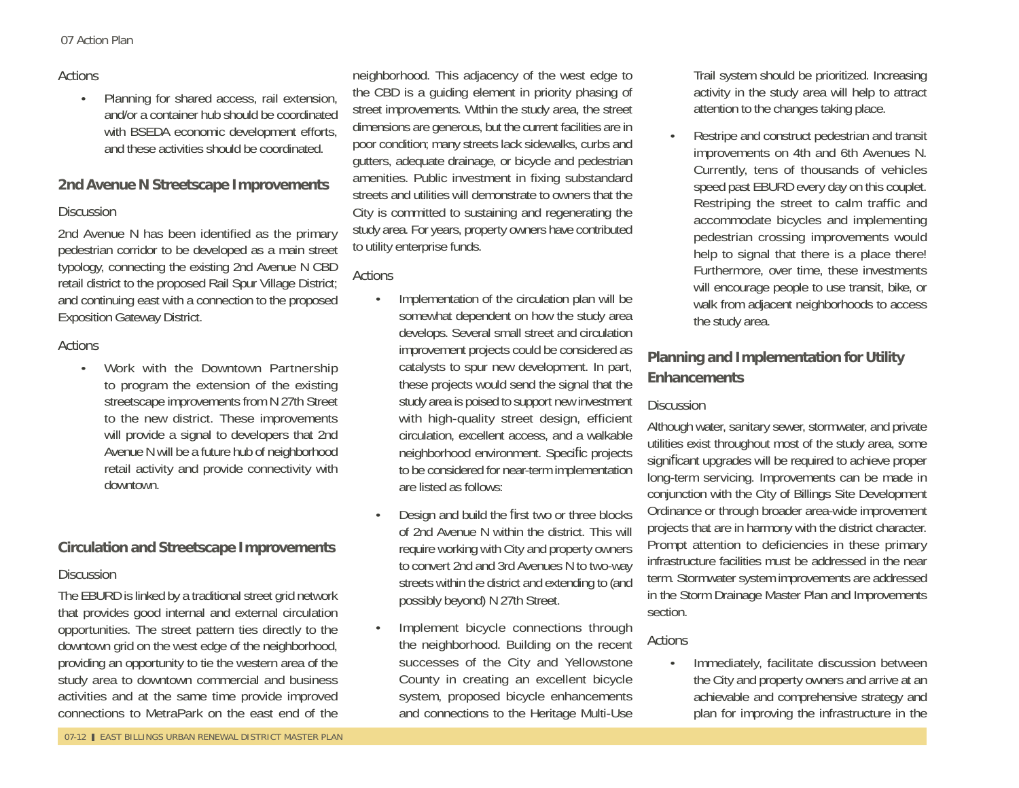#### Actions

• Planning for shared access, rail extension, and/or a container hub should be coordinated with BSEDA economic development efforts, and these activities should be coordinated.

#### **2nd Avenue N Streetscape Improvements**

#### **Discussion**

2nd Avenue N has been identified as the primary pedestrian corridor to be developed as a main street typology, connecting the existing 2nd Avenue N CBD retail district to the proposed Rail Spur Village District; and continuing east with a connection to the proposed Exposition Gateway District.

#### Actions

• Work with the Downtown Partnership to program the extension of the existing streetscape improvements from N 27th Street to the new district. These improvements will provide a signal to developers that 2nd Avenue N will be a future hub of neighborhood retail activity and provide connectivity with downtown.

#### **Circulation and Streetscape Improvements**

#### **Discussion**

The EBURD is linked by a traditional street grid network that provides good internal and external circulation opportunities. The street pattern ties directly to the downtown grid on the west edge of the neighborhood, providing an opportunity to tie the western area of the study area to downtown commercial and business activities and at the same time provide improved connections to MetraPark on the east end of the

neighborhood. This adjacency of the west edge to the CBD is a guiding element in priority phasing of street improvements. Within the study area, the street dimensions are generous, but the current facilities are in poor condition; many streets lack sidewalks, curbs and gutters, adequate drainage, or bicycle and pedestrian amenities. Public investment in fixing substandard streets and utilities will demonstrate to owners that the City is committed to sustaining and regenerating the study area. For years, property owners have contributed to utility enterprise funds.

**Actions** 

- Implementation of the circulation plan will be somewhat dependent on how the study area develops. Several small street and circulation improvement projects could be considered as catalysts to spur new development. In part, these projects would send the signal that the study area is poised to support new investment with high-quality street design, efficient circulation, excellent access, and a walkable neighborhood environment. Speci fi c projects to be considered for near-term implementation are listed as follows:
- Design and build the first two or three blocks of 2nd Avenue N within the district. This will require working with City and property owners to convert 2nd and 3rd Avenues N to two-way streets within the district and extending to (and possibly beyond) N 27th Street.
- Implement bicycle connections through the neighborhood. Building on the recent successes of the City and Yellowstone County in creating an excellent bicycle system, proposed bicycle enhancements and connections to the Heritage Multi-Use

Trail system should be prioritized. Increasing activity in the study area will help to attract attention to the changes taking place.

• Restripe and construct pedestrian and transit improvements on 4th and 6th Avenues N. Currently, tens of thousands of vehicles speed past EBURD every day on this couplet. Restriping the street to calm traffic and accommodate bicycles and implementing pedestrian crossing improvements would help to signal that there is a place there! Furthermore, over time, these investments will encourage people to use transit, bike, or walk from adjacent neighborhoods to access the study area.

# **Planning and Implementation for Utility Enhancements**

#### **Discussion**

Although water, sanitary sewer, stormwater, and private utilities exist throughout most of the study area, some signi fi cant upgrades will be required to achieve proper long-term servicing. Improvements can be made in conjunction with the City of Billings Site Development Ordinance or through broader area-wide improvement projects that are in harmony with the district character. Prompt attention to deficiencies in these primary infrastructure facilities must be addressed in the near term. Stormwater system improvements are addressed in the Storm Drainage Master Plan and Improvements section.

#### Actions

• Immediately, facilitate discussion between the City and property owners and arrive at an achievable and comprehensive strategy and plan for improving the infrastructure in the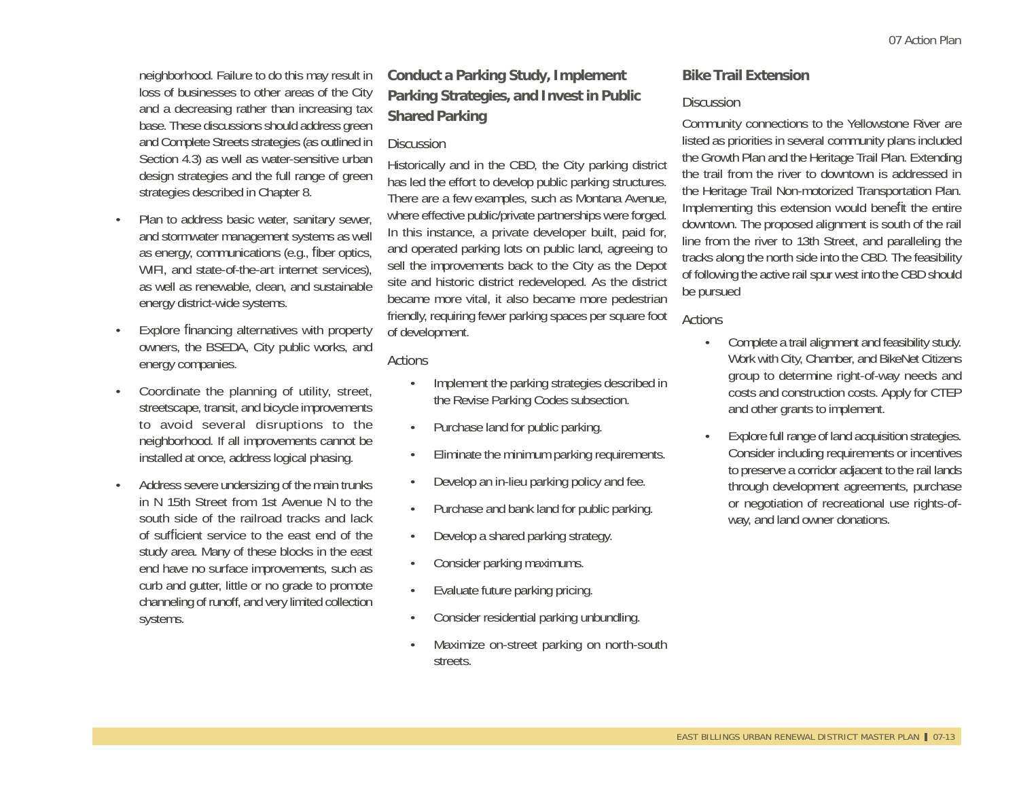neighborhood. Failure to do this may result in loss of businesses to other areas of the City and a decreasing rather than increasing tax base. These discussions should address green and Complete Streets strategies (as outlined in Section 4.3) as well as water-sensitive urban design strategies and the full range of green strategies described in Chapter 8.

- Plan to address basic water, sanitary sewer, and stormwater management systems as well as energy, communications (e.g., fiber optics, WIFI, and state-of-the-art internet services), as well as renewable, clean, and sustainable energy district-wide systems.
- Explore financing alternatives with property owners, the BSEDA, City public works, and energy companies.
- Coordinate the planning of utility, street, streetscape, transit, and bicycle improvements to avoid several disruptions to the neighborhood. If all improvements cannot be installed at once, address logical phasing.
- Address severe undersizing of the main trunks in N 15th Street from 1st Avenue N to the south side of the railroad tracks and lack of sufficient service to the east end of the study area. Many of these blocks in the east end have no surface improvements, such as curb and gutter, little or no grade to promote channeling of runoff, and very limited collection systems.

# **Conduct a Parking Study, Implement Parking Strategies, and Invest in Public Shared Parking**

#### **Discussion**

Historically and in the CBD, the City parking district has led the effort to develop public parking structures. There are a few examples, such as Montana Avenue, where effective public/private partnerships were forged. In this instance, a private developer built, paid for, and operated parking lots on public land, agreeing to sell the improvements back to the City as the Depot site and historic district redeveloped. As the district became more vital, it also became more pedestrian friendly, requiring fewer parking spaces per square foot of development.

#### **Actions**

- Implement the parking strategies described in the Revise Parking Codes subsection.
- Purchase land for public parking.
- Eliminate the minimum parking requirements.
- Develop an in-lieu parking policy and fee.
- Purchase and bank land for public parking.
- Develop a shared parking strategy.
- Consider parking maximums.
- Evaluate future parking pricing.
- Consider residential parking unbundling.
- Maximize on-street parking on north-south streets.

#### **Bike Trail Extension**

#### **Discussion**

Community connections to the Yellowstone River are listed as priorities in several community plans included the Growth Plan and the Heritage Trail Plan. Extending the trail from the river to downtown is addressed in the Heritage Trail Non-motorized Transportation Plan. Implementing this extension would benefit the entire downtown. The proposed alignment is south of the rail line from the river to 13th Street, and paralleling the tracks along the north side into the CBD. The feasibility of following the active rail spur west into the CBD should be pursued

- Complete a trail alignment and feasibility study. Work with City, Chamber, and BikeNet Citizens group to determine right-of-way needs and costs and construction costs. Apply for CTEP and other grants to implement.
- Explore full range of land acquisition strategies. Consider including requirements or incentives to preserve a corridor adjacent to the rail lands through development agreements, purchase or negotiation of recreational use rights-ofway, and land owner donations.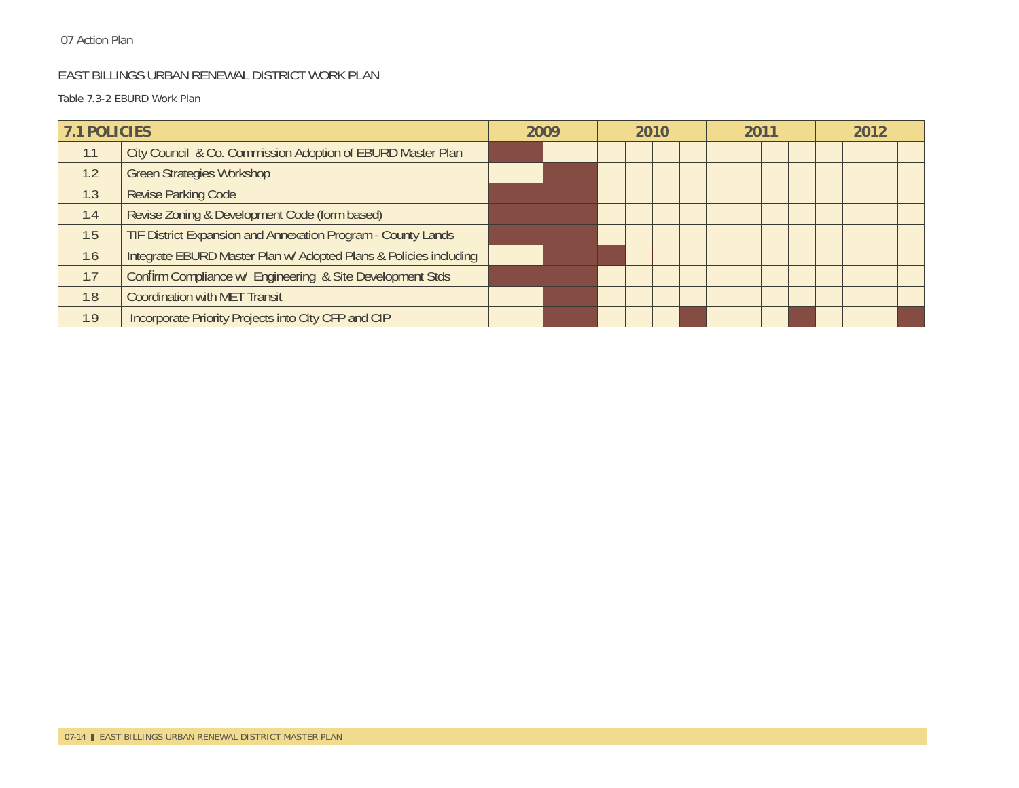#### EAST BILLINGS URBAN RENEWAL DISTRICT WORK PLAN

Table 7.3-2 EBURD Work Plan

| <b>7.1 POLICIES</b> |                                                                   | 2009 | 2010 |  | 2011 |  |  | 2012 |  |  |  |  |
|---------------------|-------------------------------------------------------------------|------|------|--|------|--|--|------|--|--|--|--|
| 1.1                 | City Council & Co. Commission Adoption of EBURD Master Plan       |      |      |  |      |  |  |      |  |  |  |  |
| 1.2                 | <b>Green Strategies Workshop</b>                                  |      |      |  |      |  |  |      |  |  |  |  |
| 1.3                 | <b>Revise Parking Code</b>                                        |      |      |  |      |  |  |      |  |  |  |  |
| 1.4                 | Revise Zoning & Development Code (form based)                     |      |      |  |      |  |  |      |  |  |  |  |
| 1.5                 | TIF District Expansion and Annexation Program - County Lands      |      |      |  |      |  |  |      |  |  |  |  |
| 1.6                 | Integrate EBURD Master Plan w/ Adopted Plans & Policies including |      |      |  |      |  |  |      |  |  |  |  |
| 1.7                 | Confirm Compliance w/ Engineering & Site Development Stds         |      |      |  |      |  |  |      |  |  |  |  |
| 1.8                 | <b>Coordination with MET Transit</b>                              |      |      |  |      |  |  |      |  |  |  |  |
| 1.9                 | Incorporate Priority Projects into City CFP and CIP               |      |      |  |      |  |  |      |  |  |  |  |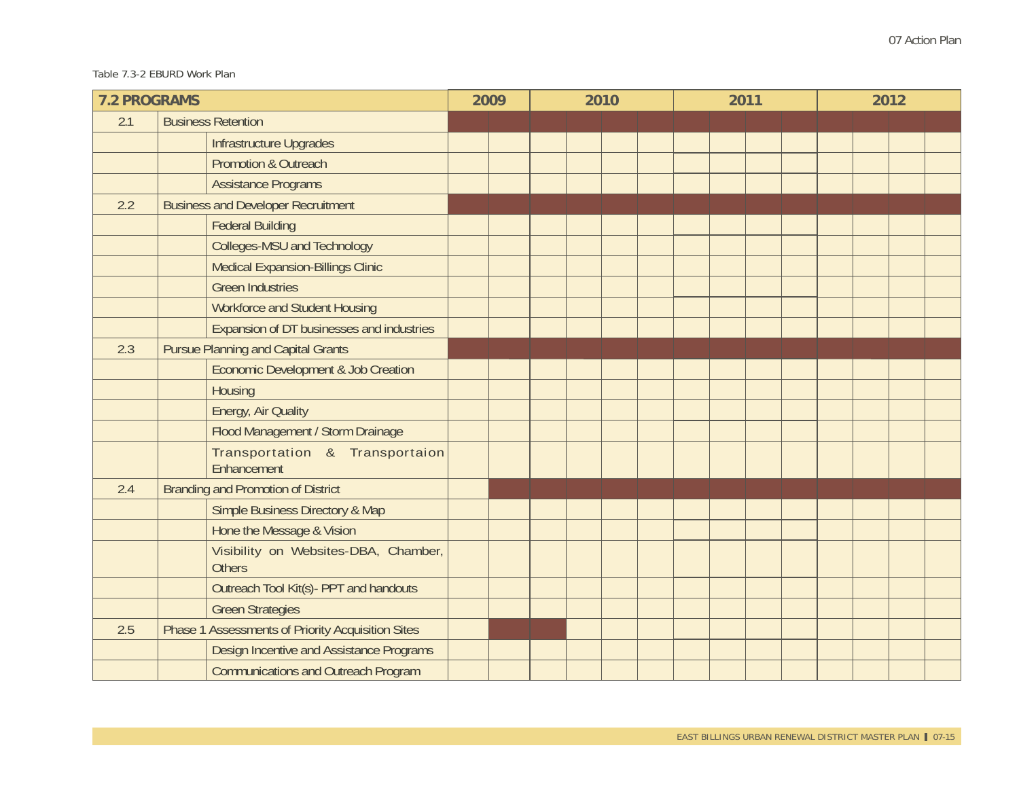#### Table 7.3-2 EBURD Work Plan

| <b>7.2 PROGRAMS</b> |                                                       | 2009 | 2010 | 2011 | 2012 |  |  |  |  |
|---------------------|-------------------------------------------------------|------|------|------|------|--|--|--|--|
| 2.1                 | <b>Business Retention</b>                             |      |      |      |      |  |  |  |  |
|                     | Infrastructure Upgrades                               |      |      |      |      |  |  |  |  |
|                     | <b>Promotion &amp; Outreach</b>                       |      |      |      |      |  |  |  |  |
|                     | <b>Assistance Programs</b>                            |      |      |      |      |  |  |  |  |
| 2.2                 | <b>Business and Developer Recruitment</b>             |      |      |      |      |  |  |  |  |
|                     | <b>Federal Building</b>                               |      |      |      |      |  |  |  |  |
|                     | Colleges-MSU and Technology                           |      |      |      |      |  |  |  |  |
|                     | Medical Expansion-Billings Clinic                     |      |      |      |      |  |  |  |  |
|                     | <b>Green Industries</b>                               |      |      |      |      |  |  |  |  |
|                     | <b>Workforce and Student Housing</b>                  |      |      |      |      |  |  |  |  |
|                     | Expansion of DT businesses and industries             |      |      |      |      |  |  |  |  |
| 2.3                 | <b>Pursue Planning and Capital Grants</b>             |      |      |      |      |  |  |  |  |
|                     | Economic Development & Job Creation                   |      |      |      |      |  |  |  |  |
|                     | Housing                                               |      |      |      |      |  |  |  |  |
|                     | Energy, Air Quality                                   |      |      |      |      |  |  |  |  |
|                     | Flood Management / Storm Drainage                     |      |      |      |      |  |  |  |  |
|                     | Transportation & Transportaion<br>Enhancement         |      |      |      |      |  |  |  |  |
| 2.4                 | <b>Branding and Promotion of District</b>             |      |      |      |      |  |  |  |  |
|                     | <b>Simple Business Directory &amp; Map</b>            |      |      |      |      |  |  |  |  |
|                     | Hone the Message & Vision                             |      |      |      |      |  |  |  |  |
|                     | Visibility on Websites-DBA, Chamber,<br><b>Others</b> |      |      |      |      |  |  |  |  |
|                     | Outreach Tool Kit(s) - PPT and handouts               |      |      |      |      |  |  |  |  |
|                     | <b>Green Strategies</b>                               |      |      |      |      |  |  |  |  |
| 2.5                 | Phase 1 Assessments of Priority Acquisition Sites     |      |      |      |      |  |  |  |  |
|                     | Design Incentive and Assistance Programs              |      |      |      |      |  |  |  |  |
|                     | <b>Communications and Outreach Program</b>            |      |      |      |      |  |  |  |  |